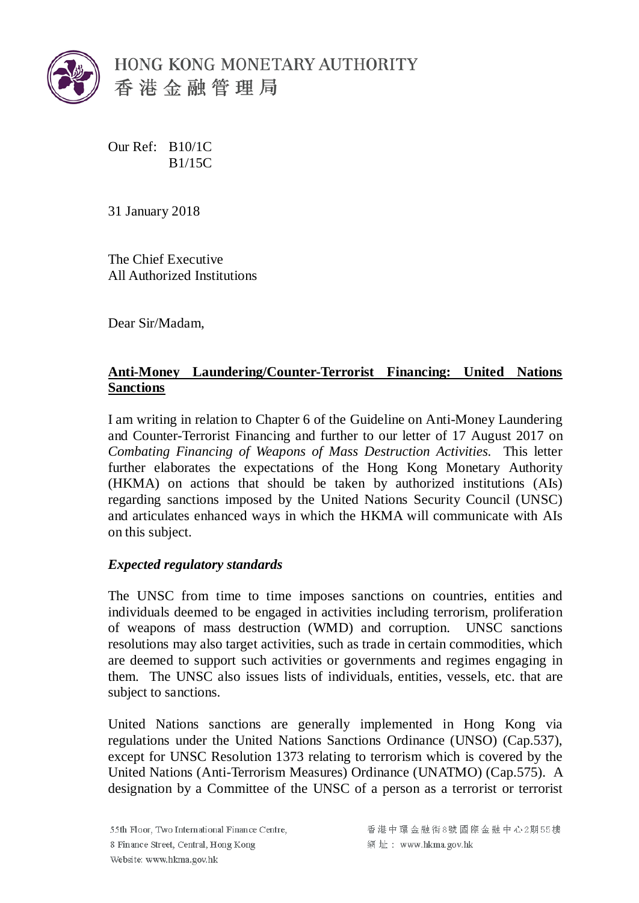

Our Ref: B10/1C B1/15C

31 January 2018

The Chief Executive All Authorized Institutions

Dear Sir/Madam,

## **Anti-Money Laundering/Counter-Terrorist Financing: United Nations Sanctions**

I am writing in relation to Chapter 6 of the Guideline on Anti-Money Laundering and Counter-Terrorist Financing and further to our letter of 17 August 2017 on *Combating Financing of Weapons of Mass Destruction Activities.* This letter further elaborates the expectations of the Hong Kong Monetary Authority (HKMA) on actions that should be taken by authorized institutions (AIs) regarding sanctions imposed by the United Nations Security Council (UNSC) and articulates enhanced ways in which the HKMA will communicate with AIs on this subject.

## *Expected regulatory standards*

The UNSC from time to time imposes sanctions on countries, entities and individuals deemed to be engaged in activities including terrorism, proliferation of weapons of mass destruction (WMD) and corruption. UNSC sanctions resolutions may also target activities, such as trade in certain commodities, which are deemed to support such activities or governments and regimes engaging in them. The UNSC also issues lists of individuals, entities, vessels, etc. that are subject to sanctions.

<span id="page-0-0"></span>United Nations sanctions are generally implemented in Hong Kong via regulations under the United Nations Sanctions Ordinance (UNSO) (Cap.537), except for UNSC Resolution 1373 relating to terrorism which is covered by the United Nations (Anti-Terrorism Measures) Ordinance (UNATMO) (Cap.575). A designation by a Committee of the UNSC of a person as a terrorist or terrorist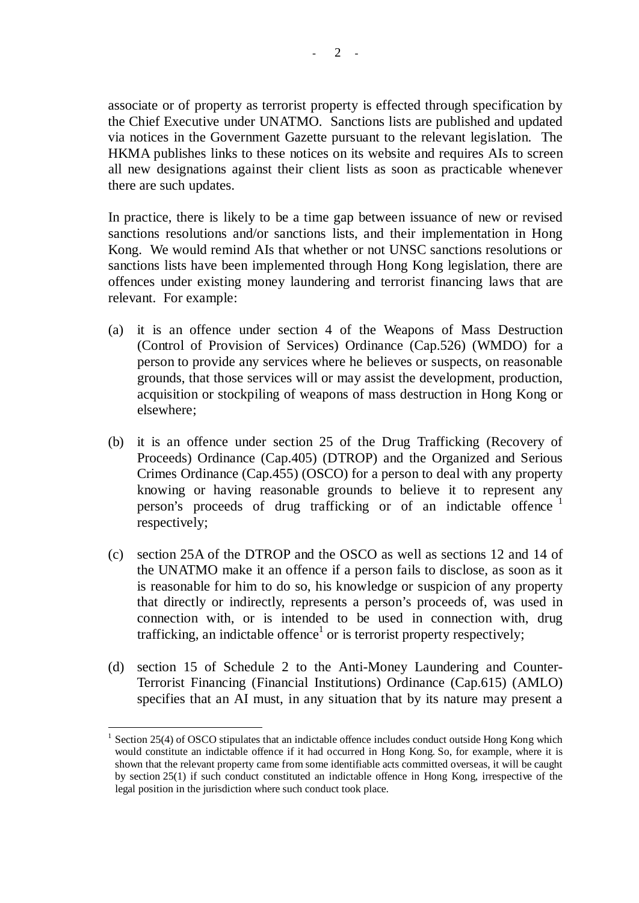associate or of property as terrorist property is effected through specification by the Chief Executive under UNATMO. Sanctions lists are published and updated via notices in the Government Gazette pursuant to the relevant legislation. The HKMA publishes links to these notices on its website and requires AIs to screen all new designations against their client lists as soon as practicable whenever there are such updates.

In practice, there is likely to be a time gap between issuance of new or revised sanctions resolutions and/or sanctions lists, and their implementation in Hong Kong. We would remind AIs that whether or not UNSC sanctions resolutions or sanctions lists have been implemented through Hong Kong legislation, there are offences under existing money laundering and terrorist financing laws that are relevant. For example:

- (a) it is an offence under section 4 of the Weapons of Mass Destruction (Control of Provision of Services) Ordinance (Cap.526) (WMDO) for a person to provide any services where he believes or suspects, on reasonable grounds, that those services will or may assist the development, production, acquisition or stockpiling of weapons of mass destruction in Hong Kong or elsewhere;
- (b) it is an offence under section 25 of the Drug Trafficking (Recovery of Proceeds) Ordinance (Cap.405) (DTROP) and the Organized and Serious Crimes Ordinance (Cap.455) (OSCO) for a person to deal with any property knowing or having reasonable grounds to believe it to represent any person's proceeds of drug trafficking or of an indictable offence <sup>[1](#page-0-0)</sup> respectively;
- (c) section 25A of the DTROP and the OSCO as well as sections 12 and 14 of the UNATMO make it an offence if a person fails to disclose, as soon as it is reasonable for him to do so, his knowledge or suspicion of any property that directly or indirectly, represents a person's proceeds of, was used in connection with, or is intended to be used in connection with, drug trafficking, an indictable offence<sup>1</sup> or is terrorist property respectively;
- (d) section 15 of Schedule 2 to the Anti-Money Laundering and Counter-Terrorist Financing (Financial Institutions) Ordinance (Cap.615) (AMLO) specifies that an AI must, in any situation that by its nature may present a

 <sup>1</sup> Section 25(4) of OSCO stipulates that an indictable offence includes conduct outside Hong Kong which would constitute an indictable offence if it had occurred in Hong Kong. So, for example, where it is shown that the relevant property came from some identifiable acts committed overseas, it will be caught by section 25(1) if such conduct constituted an indictable offence in Hong Kong, irrespective of the legal position in the jurisdiction where such conduct took place.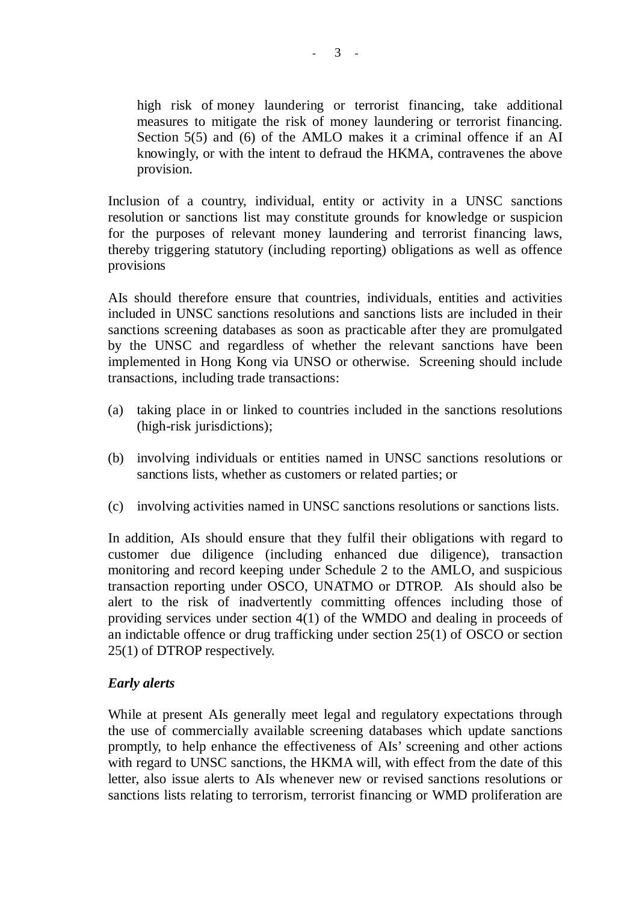high risk of money laundering or terrorist financing, take additional measures to mitigate the risk of money laundering or terrorist financing. Section 5(5) and (6) of the AMLO makes it a criminal offence if an AI knowingly, or with the intent to defraud the HKMA, contravenes the above provision.

Inclusion of a country, individual, entity or activity in a UNSC sanctions resolution or sanctions list may constitute grounds for knowledge or suspicion for the purposes of relevant money laundering and terrorist financing laws, thereby triggering statutory (including reporting) obligations as well as offence provisions

AIs should therefore ensure that countries, individuals, entities and activities included in UNSC sanctions resolutions and sanctions lists are included in their sanctions screening databases as soon as practicable after they are promulgated by the UNSC and regardless of whether the relevant sanctions have been implemented in Hong Kong via UNSO or otherwise. Screening should include transactions, including trade transactions:

- (a) taking place in or linked to countries included in the sanctions resolutions (high-risk jurisdictions);
- (b) involving individuals or entities named in UNSC sanctions resolutions or sanctions lists, whether as customers or related parties; or
- (c) involving activities named in UNSC sanctions resolutions or sanctions lists.

In addition, AIs should ensure that they fulfil their obligations with regard to customer due diligence (including enhanced due diligence), transaction monitoring and record keeping under Schedule 2 to the AMLO, and suspicious transaction reporting under OSCO, UNATMO or DTROP. AIs should also be alert to the risk of inadvertently committing offences including those of providing services under section 4(1) of the WMDO and dealing in proceeds of an indictable offence or drug trafficking under section 25(1) of OSCO or section 25(1) of DTROP respectively.

## *Early alerts*

While at present AIs generally meet legal and regulatory expectations through the use of commercially available screening databases which update sanctions promptly, to help enhance the effectiveness of AIs' screening and other actions with regard to UNSC sanctions, the HKMA will, with effect from the date of this letter, also issue alerts to AIs whenever new or revised sanctions resolutions or sanctions lists relating to terrorism, terrorist financing or WMD proliferation are